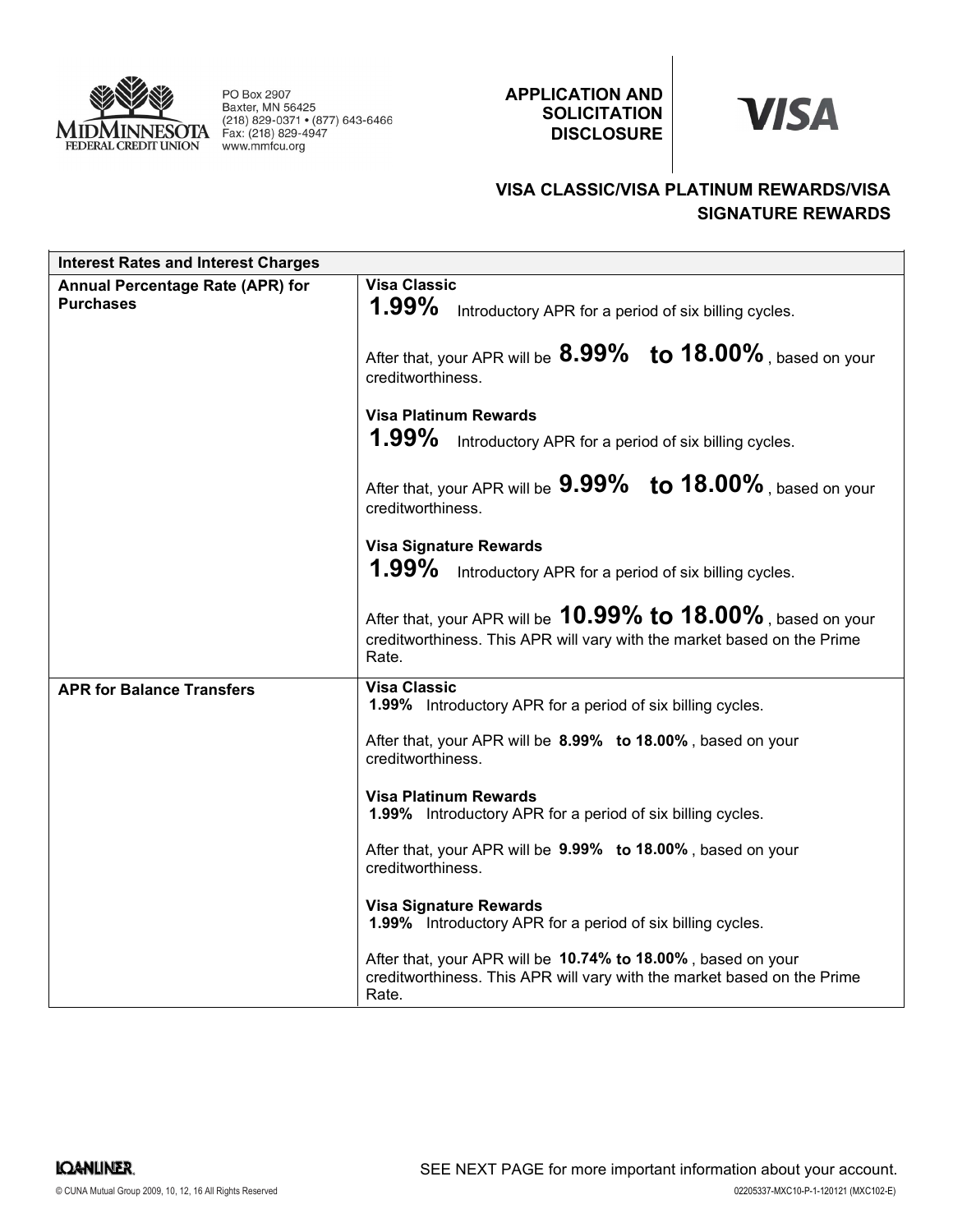

PO Box 2907 Baxter, MN 56425 (218) 829-0371 • (877) 643-6466 Fax: (218) 829-4947<br>Www.mmfcu.org

APPLICATION AND **SOLICITATION DISCLOSURE** 



## VISA CLASSIC/VISA PLATINUM REWARDS/VISA SIGNATURE REWARDS

| <b>Interest Rates and Interest Charges</b>           |                                                                                                                                                         |
|------------------------------------------------------|---------------------------------------------------------------------------------------------------------------------------------------------------------|
| Annual Percentage Rate (APR) for<br><b>Purchases</b> | <b>Visa Classic</b><br>1.99%<br>Introductory APR for a period of six billing cycles.                                                                    |
|                                                      | After that, your APR will be $8.99\%$ to $18.00\%$ , based on your<br>creditworthiness.                                                                 |
|                                                      | <b>Visa Platinum Rewards</b><br>$1.99\%$<br>Introductory APR for a period of six billing cycles.                                                        |
|                                                      | After that, your APR will be $9.99\%$ to $18.00\%$ , based on your<br>creditworthiness.                                                                 |
|                                                      | <b>Visa Signature Rewards</b><br>$1.99\%$<br>Introductory APR for a period of six billing cycles.                                                       |
|                                                      | After that, your APR will be $10.99\%$ to $18.00\%$ , based on your<br>creditworthiness. This APR will vary with the market based on the Prime<br>Rate. |
| <b>APR for Balance Transfers</b>                     | <b>Visa Classic</b><br>1.99% Introductory APR for a period of six billing cycles.                                                                       |
|                                                      | After that, your APR will be 8.99% to 18.00%, based on your<br>creditworthiness.                                                                        |
|                                                      | <b>Visa Platinum Rewards</b><br>1.99% Introductory APR for a period of six billing cycles.                                                              |
|                                                      | After that, your APR will be 9.99% to 18.00%, based on your<br>creditworthiness.                                                                        |
|                                                      | <b>Visa Signature Rewards</b><br><b>1.99%</b> Introductory APR for a period of six billing cycles.                                                      |
|                                                      | After that, your APR will be 10.74% to 18.00%, based on your<br>creditworthiness. This APR will vary with the market based on the Prime<br>Rate.        |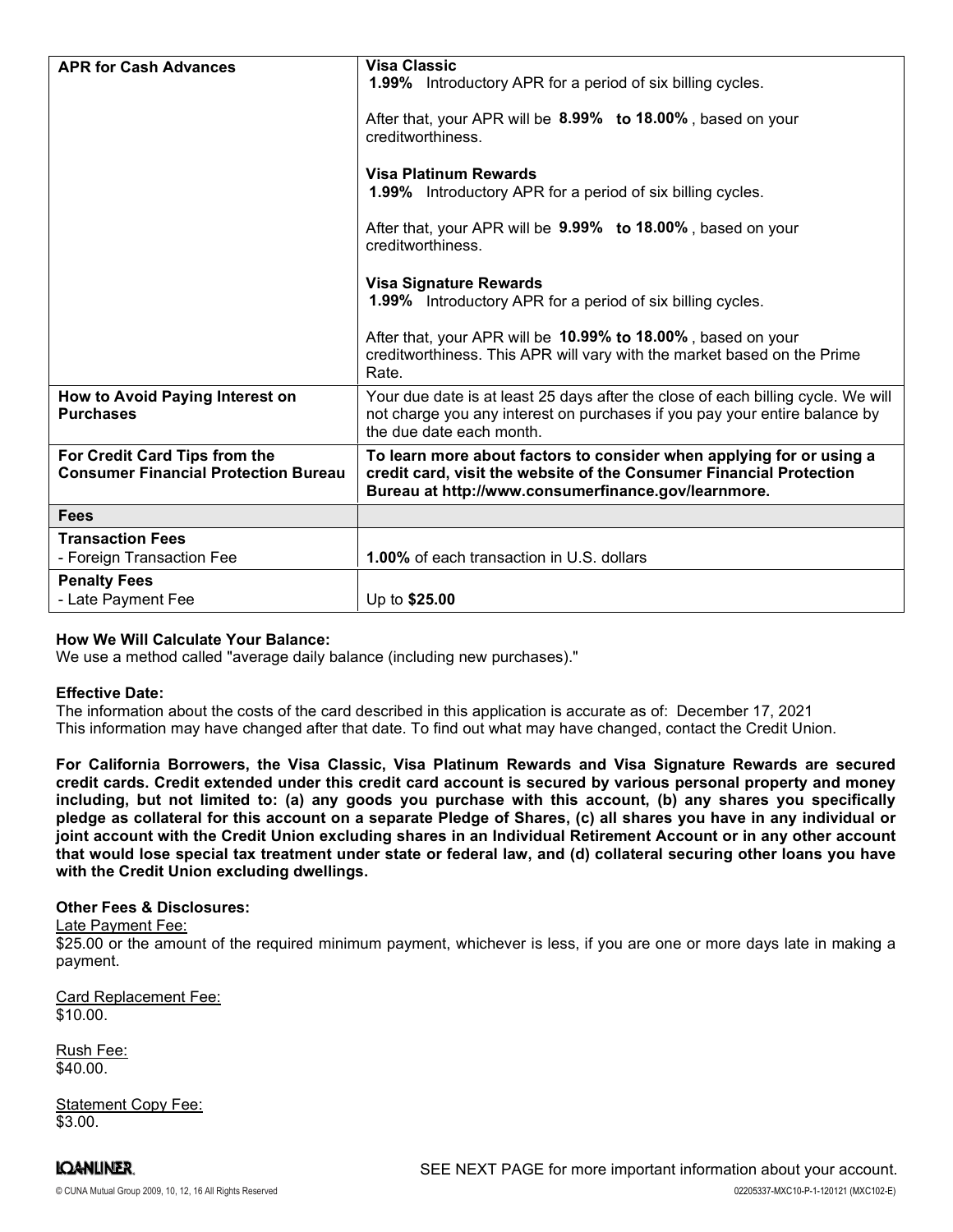| <b>APR for Cash Advances</b>                                                 | <b>Visa Classic</b><br><b>1.99%</b> Introductory APR for a period of six billing cycles.<br>After that, your APR will be 8.99% to 18.00%, based on your<br>creditworthiness.<br><b>Visa Platinum Rewards</b><br><b>1.99%</b> Introductory APR for a period of six billing cycles.<br>After that, your APR will be 9.99% to 18.00%, based on your<br>creditworthiness.<br><b>Visa Signature Rewards</b><br>1.99% Introductory APR for a period of six billing cycles.<br>After that, your APR will be 10.99% to 18.00%, based on your<br>creditworthiness. This APR will vary with the market based on the Prime<br>Rate. |
|------------------------------------------------------------------------------|--------------------------------------------------------------------------------------------------------------------------------------------------------------------------------------------------------------------------------------------------------------------------------------------------------------------------------------------------------------------------------------------------------------------------------------------------------------------------------------------------------------------------------------------------------------------------------------------------------------------------|
| How to Avoid Paying Interest on<br><b>Purchases</b>                          | Your due date is at least 25 days after the close of each billing cycle. We will<br>not charge you any interest on purchases if you pay your entire balance by<br>the due date each month.                                                                                                                                                                                                                                                                                                                                                                                                                               |
| For Credit Card Tips from the<br><b>Consumer Financial Protection Bureau</b> | To learn more about factors to consider when applying for or using a<br>credit card, visit the website of the Consumer Financial Protection<br>Bureau at http://www.consumerfinance.gov/learnmore.                                                                                                                                                                                                                                                                                                                                                                                                                       |
| <b>Fees</b>                                                                  |                                                                                                                                                                                                                                                                                                                                                                                                                                                                                                                                                                                                                          |
| <b>Transaction Fees</b><br>- Foreign Transaction Fee                         | <b>1.00%</b> of each transaction in U.S. dollars                                                                                                                                                                                                                                                                                                                                                                                                                                                                                                                                                                         |
| <b>Penalty Fees</b><br>- Late Payment Fee                                    | Up to \$25.00                                                                                                                                                                                                                                                                                                                                                                                                                                                                                                                                                                                                            |

## How We Will Calculate Your Balance:

We use a method called "average daily balance (including new purchases)."

### Effective Date:

The information about the costs of the card described in this application is accurate as of: December 17, 2021This information may have changed after that date. To find out what may have changed, contact the Credit Union.

For California Borrowers, the Visa Classic, Visa Platinum Rewards and Visa Signature Rewards are secured credit cards. Credit extended under this credit card account is secured by various personal property and money including, but not limited to: (a) any goods you purchase with this account, (b) any shares you specifically pledge as collateral for this account on a separate Pledge of Shares, (c) all shares you have in any individual or joint account with the Credit Union excluding shares in an Individual Retirement Account or in any other account that would lose special tax treatment under state or federal law, and (d) collateral securing other loans you have with the Credit Union excluding dwellings.

### Other Fees & Disclosures:

### Late Payment Fee:

\$25.00 or the amount of the required minimum payment, whichever is less, if you are one or more days late in making a payment.

Card Replacement Fee: \$10.00.

Rush Fee: \$40.00.

**IQANLINER.** 

Statement Copy Fee: \$3.00.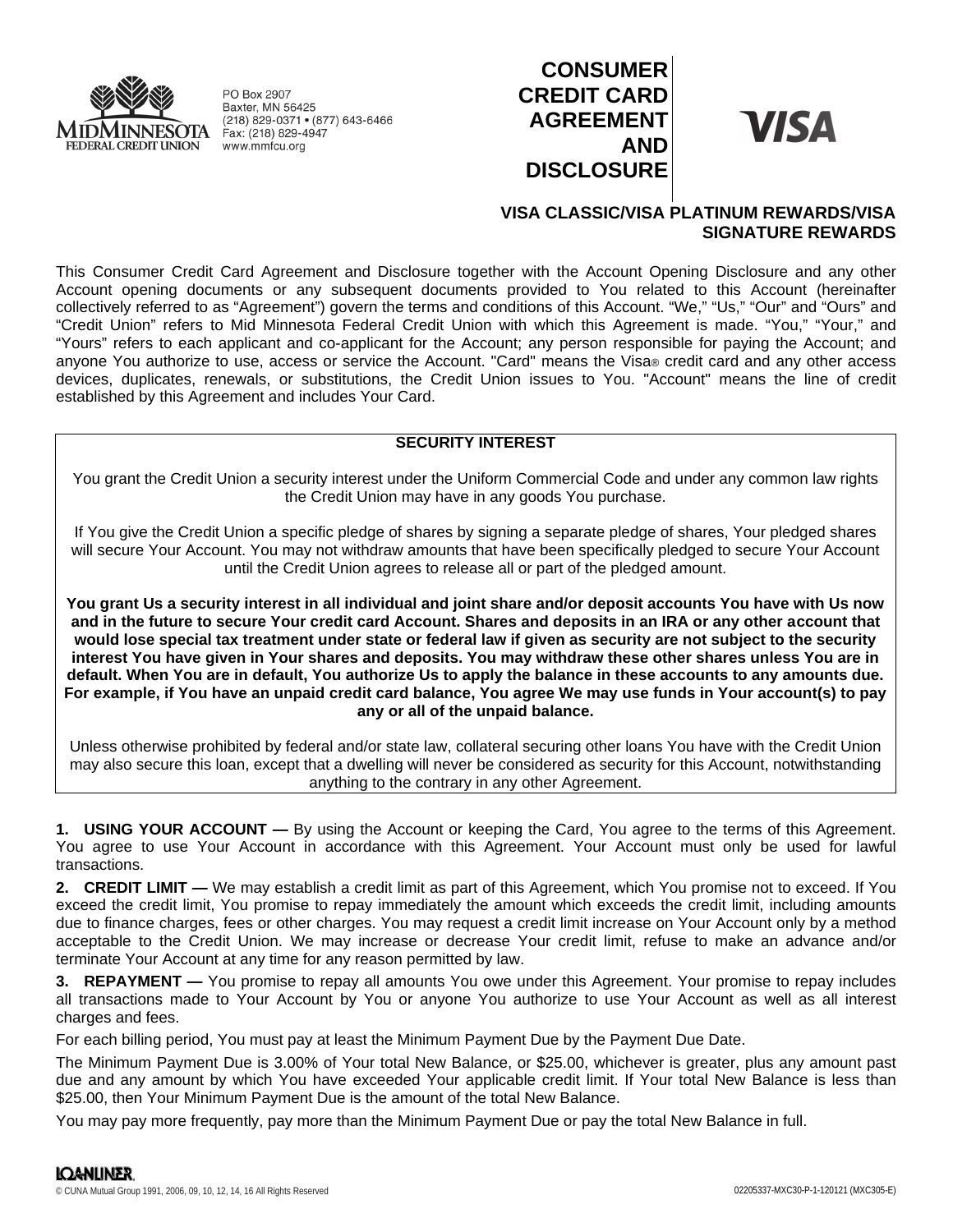

PO Box 2907 Baxter, MN 56425 (218) 829-0371 • (877) 643-6466 Fax: (218) 829-4947 www.mmfcu.org

# **CONSUMER CREDIT CARD AGREEMENT AND DISCLOSURE**

**VISA** 

## **VISA CLASSIC/VISA PLATINUM REWARDS/VISA SIGNATURE REWARDS**

This Consumer Credit Card Agreement and Disclosure together with the Account Opening Disclosure and any other Account opening documents or any subsequent documents provided to You related to this Account (hereinafter collectively referred to as "Agreement") govern the terms and conditions of this Account. "We," "Us," "Our" and "Ours" and "Credit Union" refers to Mid Minnesota Federal Credit Union with which this Agreement is made. "You," "Your," and "Yours" refers to each applicant and co-applicant for the Account; any person responsible for paying the Account; and anyone You authorize to use, access or service the Account. "Card" means the Visa® credit card and any other access devices, duplicates, renewals, or substitutions, the Credit Union issues to You. "Account" means the line of credit established by this Agreement and includes Your Card.

## **SECURITY INTEREST**

You grant the Credit Union a security interest under the Uniform Commercial Code and under any common law rights the Credit Union may have in any goods You purchase.

If You give the Credit Union a specific pledge of shares by signing a separate pledge of shares, Your pledged shares will secure Your Account. You may not withdraw amounts that have been specifically pledged to secure Your Account until the Credit Union agrees to release all or part of the pledged amount.

**You grant Us a security interest in all individual and joint share and/or deposit accounts You have with Us now and in the future to secure Your credit card Account. Shares and deposits in an IRA or any other account that would lose special tax treatment under state or federal law if given as security are not subject to the security interest You have given in Your shares and deposits. You may withdraw these other shares unless You are in default. When You are in default, You authorize Us to apply the balance in these accounts to any amounts due. For example, if You have an unpaid credit card balance, You agree We may use funds in Your account(s) to pay any or all of the unpaid balance.**

Unless otherwise prohibited by federal and/or state law, collateral securing other loans You have with the Credit Union may also secure this loan, except that a dwelling will never be considered as security for this Account, notwithstanding anything to the contrary in any other Agreement.

**1. USING YOUR ACCOUNT —** By using the Account or keeping the Card, You agree to the terms of this Agreement. You agree to use Your Account in accordance with this Agreement. Your Account must only be used for lawful transactions.

**2. CREDIT LIMIT —** We may establish a credit limit as part of this Agreement, which You promise not to exceed. If You exceed the credit limit, You promise to repay immediately the amount which exceeds the credit limit, including amounts due to finance charges, fees or other charges. You may request a credit limit increase on Your Account only by a method acceptable to the Credit Union. We may increase or decrease Your credit limit, refuse to make an advance and/or terminate Your Account at any time for any reason permitted by law.

**3. REPAYMENT —** You promise to repay all amounts You owe under this Agreement. Your promise to repay includes all transactions made to Your Account by You or anyone You authorize to use Your Account as well as all interest charges and fees.

For each billing period, You must pay at least the Minimum Payment Due by the Payment Due Date.

The Minimum Payment Due is 3.00% of Your total New Balance, or \$25.00, whichever is greater, plus any amount past due and any amount by which You have exceeded Your applicable credit limit. If Your total New Balance is less than \$25.00, then Your Minimum Payment Due is the amount of the total New Balance.

You may pay more frequently, pay more than the Minimum Payment Due or pay the total New Balance in full.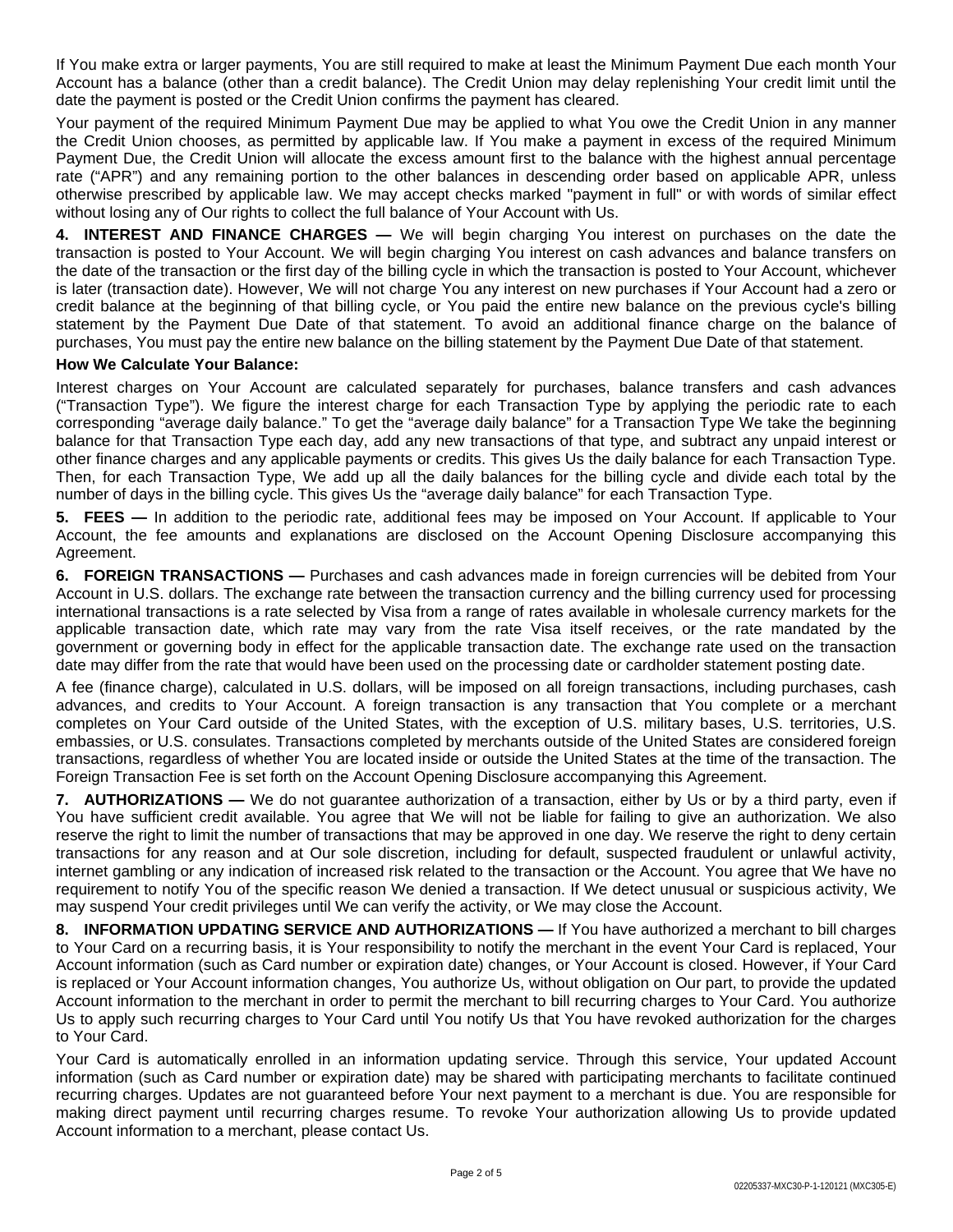If You make extra or larger payments, You are still required to make at least the Minimum Payment Due each month Your Account has a balance (other than a credit balance). The Credit Union may delay replenishing Your credit limit until the date the payment is posted or the Credit Union confirms the payment has cleared.

Your payment of the required Minimum Payment Due may be applied to what You owe the Credit Union in any manner the Credit Union chooses, as permitted by applicable law. If You make a payment in excess of the required Minimum Payment Due, the Credit Union will allocate the excess amount first to the balance with the highest annual percentage rate ("APR") and any remaining portion to the other balances in descending order based on applicable APR, unless otherwise prescribed by applicable law. We may accept checks marked "payment in full" or with words of similar effect without losing any of Our rights to collect the full balance of Your Account with Us.

**4. INTEREST AND FINANCE CHARGES —** We will begin charging You interest on purchases on the date the transaction is posted to Your Account. We will begin charging You interest on cash advances and balance transfers on the date of the transaction or the first day of the billing cycle in which the transaction is posted to Your Account, whichever is later (transaction date). However, We will not charge You any interest on new purchases if Your Account had a zero or credit balance at the beginning of that billing cycle, or You paid the entire new balance on the previous cycle's billing statement by the Payment Due Date of that statement. To avoid an additional finance charge on the balance of purchases, You must pay the entire new balance on the billing statement by the Payment Due Date of that statement.

## **How We Calculate Your Balance:**

Interest charges on Your Account are calculated separately for purchases, balance transfers and cash advances ("Transaction Type"). We figure the interest charge for each Transaction Type by applying the periodic rate to each corresponding "average daily balance." To get the "average daily balance" for a Transaction Type We take the beginning balance for that Transaction Type each day, add any new transactions of that type, and subtract any unpaid interest or other finance charges and any applicable payments or credits. This gives Us the daily balance for each Transaction Type. Then, for each Transaction Type, We add up all the daily balances for the billing cycle and divide each total by the number of days in the billing cycle. This gives Us the "average daily balance" for each Transaction Type.

**5. FEES —** In addition to the periodic rate, additional fees may be imposed on Your Account. If applicable to Your Account, the fee amounts and explanations are disclosed on the Account Opening Disclosure accompanying this Agreement.

**6. FOREIGN TRANSACTIONS —** Purchases and cash advances made in foreign currencies will be debited from Your Account in U.S. dollars. The exchange rate between the transaction currency and the billing currency used for processing international transactions is a rate selected by Visa from a range of rates available in wholesale currency markets for the applicable transaction date, which rate may vary from the rate Visa itself receives, or the rate mandated by the government or governing body in effect for the applicable transaction date. The exchange rate used on the transaction date may differ from the rate that would have been used on the processing date or cardholder statement posting date.

A fee (finance charge), calculated in U.S. dollars, will be imposed on all foreign transactions, including purchases, cash advances, and credits to Your Account. A foreign transaction is any transaction that You complete or a merchant completes on Your Card outside of the United States, with the exception of U.S. military bases, U.S. territories, U.S. embassies, or U.S. consulates. Transactions completed by merchants outside of the United States are considered foreign transactions, regardless of whether You are located inside or outside the United States at the time of the transaction. The Foreign Transaction Fee is set forth on the Account Opening Disclosure accompanying this Agreement.

**7. AUTHORIZATIONS —** We do not guarantee authorization of a transaction, either by Us or by a third party, even if You have sufficient credit available. You agree that We will not be liable for failing to give an authorization. We also reserve the right to limit the number of transactions that may be approved in one day. We reserve the right to deny certain transactions for any reason and at Our sole discretion, including for default, suspected fraudulent or unlawful activity, internet gambling or any indication of increased risk related to the transaction or the Account. You agree that We have no requirement to notify You of the specific reason We denied a transaction. If We detect unusual or suspicious activity, We may suspend Your credit privileges until We can verify the activity, or We may close the Account.

**8. INFORMATION UPDATING SERVICE AND AUTHORIZATIONS —** If You have authorized a merchant to bill charges to Your Card on a recurring basis, it is Your responsibility to notify the merchant in the event Your Card is replaced, Your Account information (such as Card number or expiration date) changes, or Your Account is closed. However, if Your Card is replaced or Your Account information changes, You authorize Us, without obligation on Our part, to provide the updated Account information to the merchant in order to permit the merchant to bill recurring charges to Your Card. You authorize Us to apply such recurring charges to Your Card until You notify Us that You have revoked authorization for the charges to Your Card.

Your Card is automatically enrolled in an information updating service. Through this service, Your updated Account information (such as Card number or expiration date) may be shared with participating merchants to facilitate continued recurring charges. Updates are not guaranteed before Your next payment to a merchant is due. You are responsible for making direct payment until recurring charges resume. To revoke Your authorization allowing Us to provide updated Account information to a merchant, please contact Us.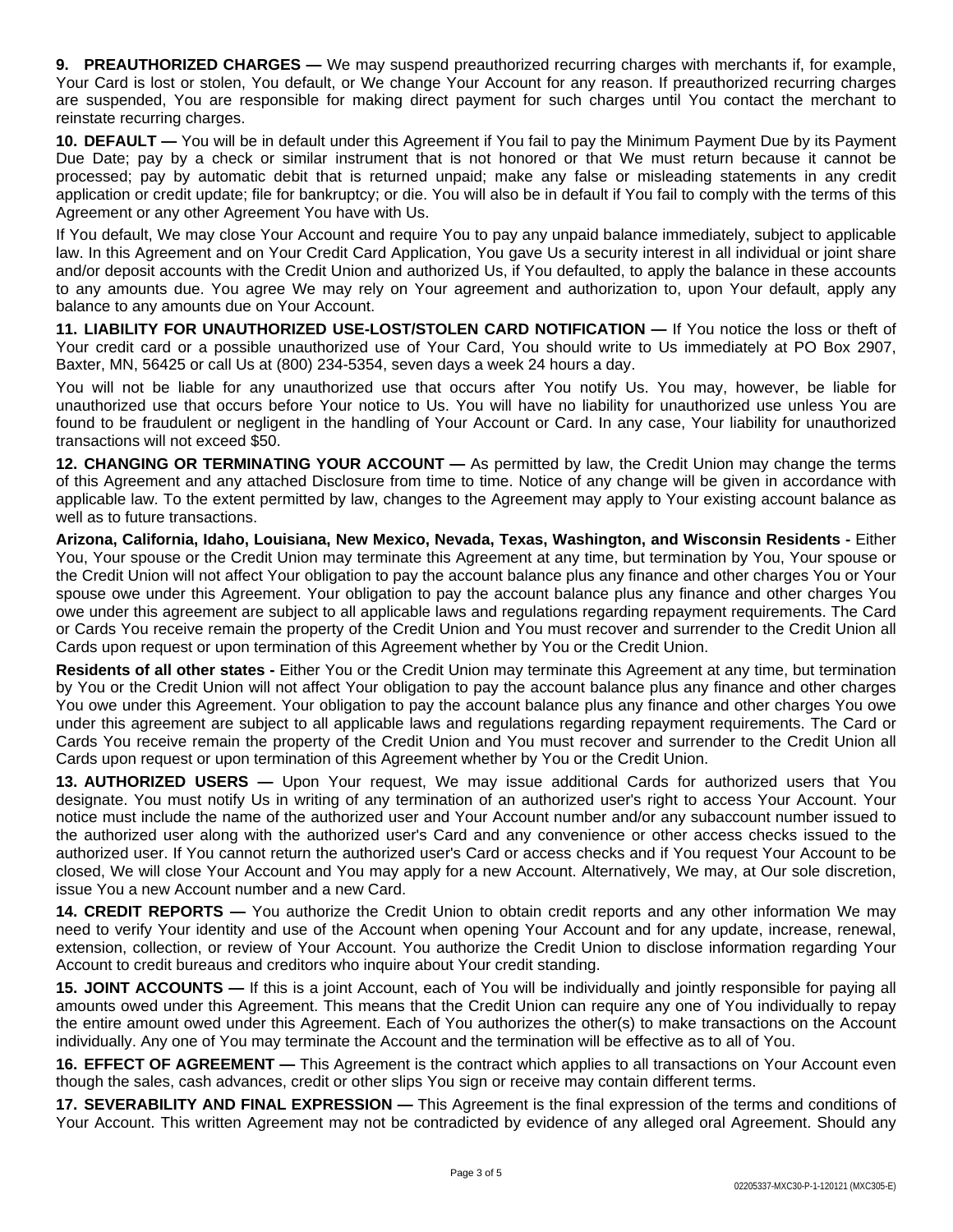**9. PREAUTHORIZED CHARGES —** We may suspend preauthorized recurring charges with merchants if, for example, Your Card is lost or stolen, You default, or We change Your Account for any reason. If preauthorized recurring charges are suspended, You are responsible for making direct payment for such charges until You contact the merchant to reinstate recurring charges.

**10. DEFAULT —** You will be in default under this Agreement if You fail to pay the Minimum Payment Due by its Payment Due Date; pay by a check or similar instrument that is not honored or that We must return because it cannot be processed; pay by automatic debit that is returned unpaid; make any false or misleading statements in any credit application or credit update; file for bankruptcy; or die. You will also be in default if You fail to comply with the terms of this Agreement or any other Agreement You have with Us.

If You default, We may close Your Account and require You to pay any unpaid balance immediately, subject to applicable law. In this Agreement and on Your Credit Card Application, You gave Us a security interest in all individual or joint share and/or deposit accounts with the Credit Union and authorized Us, if You defaulted, to apply the balance in these accounts to any amounts due. You agree We may rely on Your agreement and authorization to, upon Your default, apply any balance to any amounts due on Your Account.

**11. LIABILITY FOR UNAUTHORIZED USE-LOST/STOLEN CARD NOTIFICATION —** If You notice the loss or theft of Your credit card or a possible unauthorized use of Your Card, You should write to Us immediately at PO Box 2907, Baxter, MN, 56425 or call Us at (800) 234-5354, seven days a week 24 hours a day.

You will not be liable for any unauthorized use that occurs after You notify Us. You may, however, be liable for unauthorized use that occurs before Your notice to Us. You will have no liability for unauthorized use unless You are found to be fraudulent or negligent in the handling of Your Account or Card. In any case, Your liability for unauthorized transactions will not exceed \$50.

**12. CHANGING OR TERMINATING YOUR ACCOUNT —** As permitted by law, the Credit Union may change the terms of this Agreement and any attached Disclosure from time to time. Notice of any change will be given in accordance with applicable law. To the extent permitted by law, changes to the Agreement may apply to Your existing account balance as well as to future transactions.

**Arizona, California, Idaho, Louisiana, New Mexico, Nevada, Texas, Washington, and Wisconsin Residents -** Either You, Your spouse or the Credit Union may terminate this Agreement at any time, but termination by You, Your spouse or the Credit Union will not affect Your obligation to pay the account balance plus any finance and other charges You or Your spouse owe under this Agreement. Your obligation to pay the account balance plus any finance and other charges You owe under this agreement are subject to all applicable laws and regulations regarding repayment requirements. The Card or Cards You receive remain the property of the Credit Union and You must recover and surrender to the Credit Union all Cards upon request or upon termination of this Agreement whether by You or the Credit Union.

**Residents of all other states -** Either You or the Credit Union may terminate this Agreement at any time, but termination by You or the Credit Union will not affect Your obligation to pay the account balance plus any finance and other charges You owe under this Agreement. Your obligation to pay the account balance plus any finance and other charges You owe under this agreement are subject to all applicable laws and regulations regarding repayment requirements. The Card or Cards You receive remain the property of the Credit Union and You must recover and surrender to the Credit Union all Cards upon request or upon termination of this Agreement whether by You or the Credit Union.

**13. AUTHORIZED USERS —** Upon Your request, We may issue additional Cards for authorized users that You designate. You must notify Us in writing of any termination of an authorized user's right to access Your Account. Your notice must include the name of the authorized user and Your Account number and/or any subaccount number issued to the authorized user along with the authorized user's Card and any convenience or other access checks issued to the authorized user. If You cannot return the authorized user's Card or access checks and if You request Your Account to be closed, We will close Your Account and You may apply for a new Account. Alternatively, We may, at Our sole discretion, issue You a new Account number and a new Card.

**14. CREDIT REPORTS —** You authorize the Credit Union to obtain credit reports and any other information We may need to verify Your identity and use of the Account when opening Your Account and for any update, increase, renewal, extension, collection, or review of Your Account. You authorize the Credit Union to disclose information regarding Your Account to credit bureaus and creditors who inquire about Your credit standing.

**15. JOINT ACCOUNTS —** If this is a joint Account, each of You will be individually and jointly responsible for paying all amounts owed under this Agreement. This means that the Credit Union can require any one of You individually to repay the entire amount owed under this Agreement. Each of You authorizes the other(s) to make transactions on the Account individually. Any one of You may terminate the Account and the termination will be effective as to all of You.

**16. EFFECT OF AGREEMENT —** This Agreement is the contract which applies to all transactions on Your Account even though the sales, cash advances, credit or other slips You sign or receive may contain different terms.

**17. SEVERABILITY AND FINAL EXPRESSION —** This Agreement is the final expression of the terms and conditions of Your Account. This written Agreement may not be contradicted by evidence of any alleged oral Agreement. Should any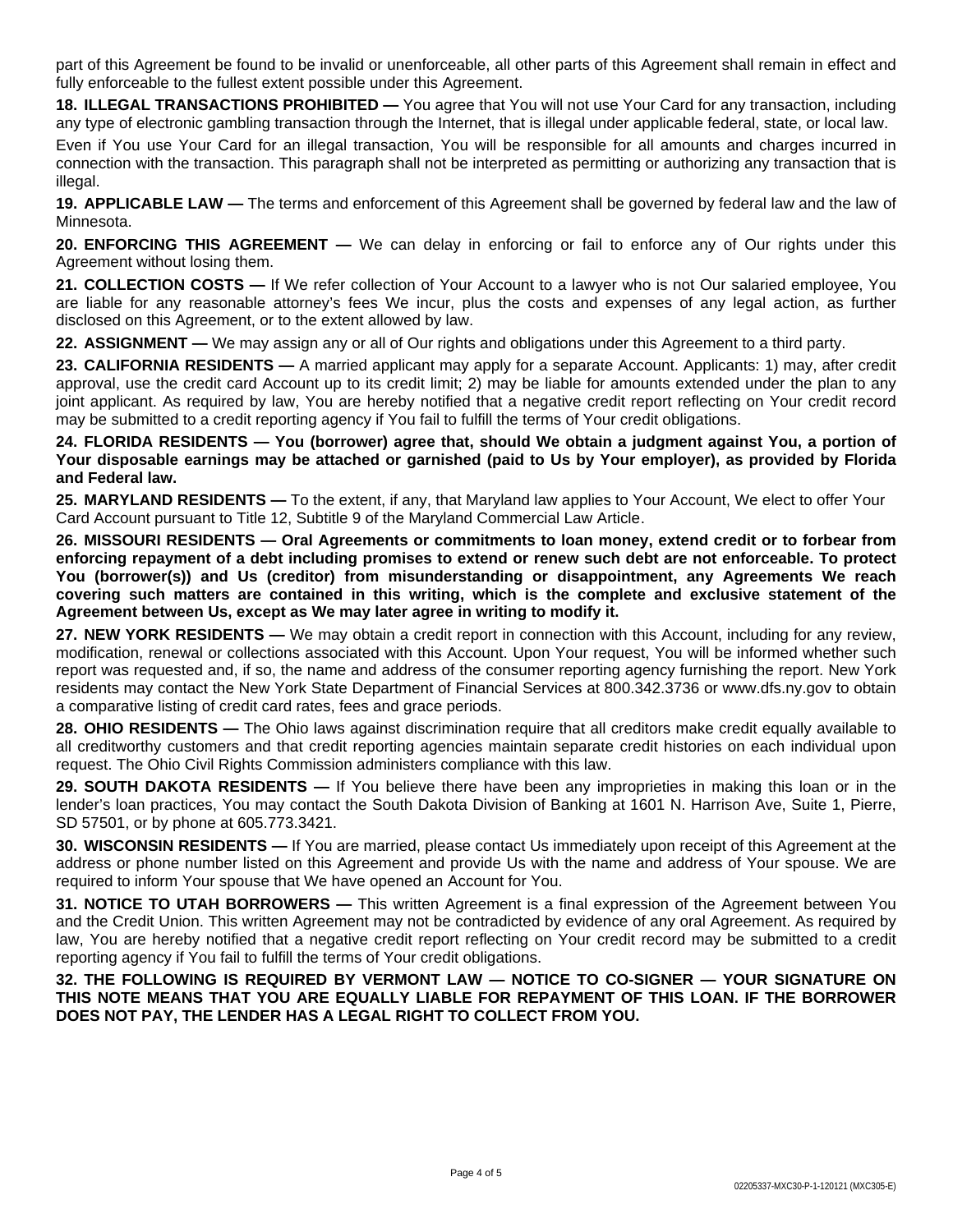part of this Agreement be found to be invalid or unenforceable, all other parts of this Agreement shall remain in effect and fully enforceable to the fullest extent possible under this Agreement.

**18. ILLEGAL TRANSACTIONS PROHIBITED —** You agree that You will not use Your Card for any transaction, including any type of electronic gambling transaction through the Internet, that is illegal under applicable federal, state, or local law.

Even if You use Your Card for an illegal transaction, You will be responsible for all amounts and charges incurred in connection with the transaction. This paragraph shall not be interpreted as permitting or authorizing any transaction that is illegal.

**19. APPLICABLE LAW —** The terms and enforcement of this Agreement shall be governed by federal law and the law of Minnesota.

**20. ENFORCING THIS AGREEMENT —** We can delay in enforcing or fail to enforce any of Our rights under this Agreement without losing them.

**21. COLLECTION COSTS —** If We refer collection of Your Account to a lawyer who is not Our salaried employee, You are liable for any reasonable attorney's fees We incur, plus the costs and expenses of any legal action, as further disclosed on this Agreement, or to the extent allowed by law.

**22. ASSIGNMENT —** We may assign any or all of Our rights and obligations under this Agreement to a third party.

**23. CALIFORNIA RESIDENTS —** A married applicant may apply for a separate Account. Applicants: 1) may, after credit approval, use the credit card Account up to its credit limit; 2) may be liable for amounts extended under the plan to any joint applicant. As required by law, You are hereby notified that a negative credit report reflecting on Your credit record may be submitted to a credit reporting agency if You fail to fulfill the terms of Your credit obligations.

24. FLORIDA RESIDENTS - You (borrower) agree that, should We obtain a judgment against You, a portion of Your disposable earnings may be attached or garnished (paid to Us by Your employer), as provided by Florida **and Federal law.**

**25. MARYLAND RESIDENTS —** To the extent, if any, that Maryland law applies to Your Account, We elect to offer Your Card Account pursuant to Title 12, Subtitle 9 of the Maryland Commercial Law Article.

**26. MISSOURI RESIDENTS — Oral Agreements or commitments to loan money, extend credit or to forbear from** enforcing repayment of a debt including promises to extend or renew such debt are not enforceable. To protect **You (borrower(s)) and Us (creditor) from misunderstanding or disappointment, any Agreements We reach covering such matters are contained in this writing, which is the complete and exclusive statement of the Agreement between Us, except as We may later agree in writing to modify it.**

**27. NEW YORK RESIDENTS —** We may obtain a credit report in connection with this Account, including for any review, modification, renewal or collections associated with this Account. Upon Your request, You will be informed whether such report was requested and, if so, the name and address of the consumer reporting agency furnishing the report. New York residents may contact the New York State Department of Financial Services at 800.342.3736 or www.dfs.ny.gov to obtain a comparative listing of credit card rates, fees and grace periods.

**28. OHIO RESIDENTS** — The Ohio laws against discrimination require that all creditors make credit equally available to all creditworthy customers and that credit reporting agencies maintain separate credit histories on each individual upon request. The Ohio Civil Rights Commission administers compliance with this law.

**29. SOUTH DAKOTA RESIDENTS —** If You believe there have been any improprieties in making this loan or in the lender's loan practices, You may contact the South Dakota Division of Banking at 1601 N. Harrison Ave, Suite 1, Pierre, SD 57501, or by phone at 605.773.3421.

**30. WISCONSIN RESIDENTS —** If You are married, please contact Us immediately upon receipt of this Agreement at the address or phone number listed on this Agreement and provide Us with the name and address of Your spouse. We are required to inform Your spouse that We have opened an Account for You.

**31. NOTICE TO UTAH BORROWERS —** This written Agreement is a final expression of the Agreement between You and the Credit Union. This written Agreement may not be contradicted by evidence of any oral Agreement. As required by law, You are hereby notified that a negative credit report reflecting on Your credit record may be submitted to a credit reporting agency if You fail to fulfill the terms of Your credit obligations.

**32. THE FOLLOWING IS REQUIRED BY VERMONT LAW — NOTICE TO CO-SIGNER — YOUR SIGNATURE ON THIS NOTE MEANS THAT YOU ARE EQUALLY LIABLE FOR REPAYMENT OF THIS LOAN. IF THE BORROWER DOES NOT PAY, THE LENDER HAS A LEGAL RIGHT TO COLLECT FROM YOU.**